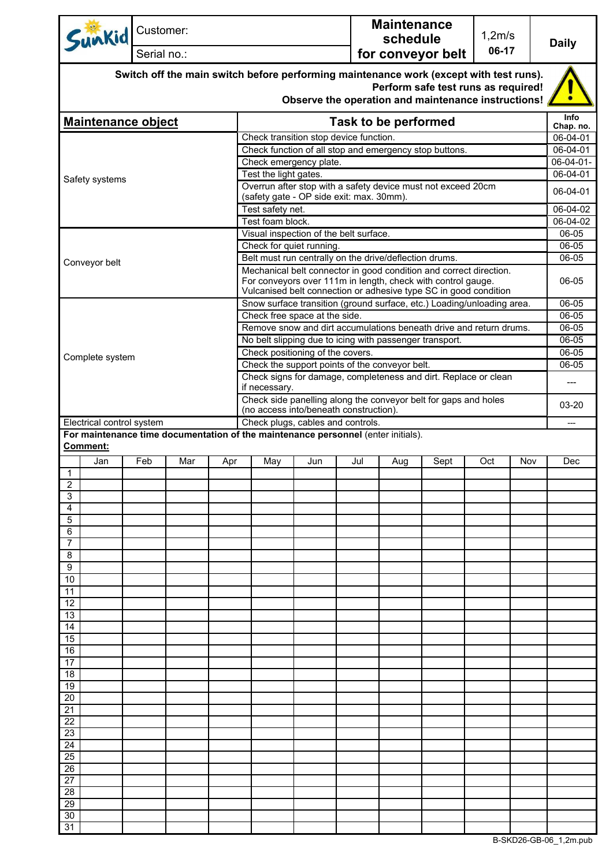| Sunkid                                                                                                         | Customer:                                                                        |     |     |                                                                                                                                                                                                        |     |                                                                                                                                                | <b>Maintenance</b><br>schedule |                                                                                            | 1,2m/s |     | <b>Daily</b>          |
|----------------------------------------------------------------------------------------------------------------|----------------------------------------------------------------------------------|-----|-----|--------------------------------------------------------------------------------------------------------------------------------------------------------------------------------------------------------|-----|------------------------------------------------------------------------------------------------------------------------------------------------|--------------------------------|--------------------------------------------------------------------------------------------|--------|-----|-----------------------|
| Serial no.:                                                                                                    |                                                                                  |     |     |                                                                                                                                                                                                        |     | 06-17<br>for conveyor belt                                                                                                                     |                                |                                                                                            |        |     |                       |
|                                                                                                                |                                                                                  |     |     | Switch off the main switch before performing maintenance work (except with test runs).                                                                                                                 |     |                                                                                                                                                |                                | Perform safe test runs as required!<br>Observe the operation and maintenance instructions! |        |     |                       |
| <b>Maintenance object</b>                                                                                      |                                                                                  |     |     |                                                                                                                                                                                                        |     |                                                                                                                                                | <b>Task to be performed</b>    |                                                                                            |        |     | <b>Info</b>           |
|                                                                                                                |                                                                                  |     |     | Check transition stop device function.                                                                                                                                                                 |     |                                                                                                                                                |                                |                                                                                            |        |     | Chap. no.<br>06-04-01 |
|                                                                                                                |                                                                                  |     |     | Check function of all stop and emergency stop buttons.                                                                                                                                                 |     |                                                                                                                                                |                                |                                                                                            |        |     | 06-04-01              |
| Safety systems                                                                                                 |                                                                                  |     |     | Check emergency plate.                                                                                                                                                                                 |     |                                                                                                                                                |                                |                                                                                            |        |     |                       |
|                                                                                                                |                                                                                  |     |     | Test the light gates.<br>Overrun after stop with a safety device must not exceed 20cm                                                                                                                  |     |                                                                                                                                                |                                |                                                                                            |        |     |                       |
|                                                                                                                | (safety gate - OP side exit: max. 30mm).                                         |     |     |                                                                                                                                                                                                        |     |                                                                                                                                                |                                | 06-04-01                                                                                   |        |     |                       |
|                                                                                                                |                                                                                  |     |     | Test safety net.                                                                                                                                                                                       |     |                                                                                                                                                |                                |                                                                                            |        |     | 06-04-02              |
|                                                                                                                |                                                                                  |     |     | Test foam block.                                                                                                                                                                                       |     |                                                                                                                                                |                                |                                                                                            |        |     | 06-04-02              |
|                                                                                                                |                                                                                  |     |     | Visual inspection of the belt surface.                                                                                                                                                                 |     |                                                                                                                                                |                                |                                                                                            |        |     | 06-05                 |
|                                                                                                                |                                                                                  |     |     | Check for quiet running.                                                                                                                                                                               |     |                                                                                                                                                |                                |                                                                                            |        |     | 06-05                 |
| Conveyor belt                                                                                                  |                                                                                  |     |     | Belt must run centrally on the drive/deflection drums.                                                                                                                                                 |     |                                                                                                                                                |                                |                                                                                            |        |     | 06-05                 |
|                                                                                                                |                                                                                  |     |     | Mechanical belt connector in good condition and correct direction.<br>For conveyors over 111m in length, check with control gauge.<br>Vulcanised belt connection or adhesive type SC in good condition |     |                                                                                                                                                |                                |                                                                                            |        |     | 06-05                 |
|                                                                                                                |                                                                                  |     |     | Snow surface transition (ground surface, etc.) Loading/unloading area.                                                                                                                                 |     |                                                                                                                                                |                                |                                                                                            |        |     | 06-05                 |
|                                                                                                                |                                                                                  |     |     | Check free space at the side.                                                                                                                                                                          |     |                                                                                                                                                |                                |                                                                                            |        |     | 06-05                 |
|                                                                                                                |                                                                                  |     |     | Remove snow and dirt accumulations beneath drive and return drums.<br>No belt slipping due to icing with passenger transport.                                                                          |     |                                                                                                                                                |                                |                                                                                            |        |     | 06-05<br>06-05        |
|                                                                                                                |                                                                                  |     |     | Check positioning of the covers.                                                                                                                                                                       |     |                                                                                                                                                |                                |                                                                                            |        |     | 06-05                 |
| Complete system                                                                                                |                                                                                  |     |     | Check the support points of the conveyor belt.                                                                                                                                                         |     |                                                                                                                                                |                                |                                                                                            |        |     | 06-05                 |
|                                                                                                                | Check signs for damage, completeness and dirt. Replace or clean<br>if necessary. |     |     |                                                                                                                                                                                                        |     |                                                                                                                                                | ---                            |                                                                                            |        |     |                       |
|                                                                                                                |                                                                                  |     |     |                                                                                                                                                                                                        |     | Check side panelling along the conveyor belt for gaps and holes<br>(no access into/beneath construction).<br>Check plugs, cables and controls. |                                |                                                                                            |        |     |                       |
| Electrical control system<br>For maintenance time documentation of the maintenance personnel (enter initials). |                                                                                  |     |     |                                                                                                                                                                                                        |     |                                                                                                                                                |                                |                                                                                            |        |     | $---$                 |
| <b>Comment:</b>                                                                                                |                                                                                  |     |     |                                                                                                                                                                                                        |     |                                                                                                                                                |                                |                                                                                            |        |     |                       |
| Jan                                                                                                            | Feb                                                                              | Mar | Apr | May                                                                                                                                                                                                    | Jun | Jul                                                                                                                                            | Aug                            | Sept                                                                                       | Oct    | Nov | Dec                   |
| $\mathbf{1}$                                                                                                   |                                                                                  |     |     |                                                                                                                                                                                                        |     |                                                                                                                                                |                                |                                                                                            |        |     |                       |
| $\overline{2}$<br>3                                                                                            |                                                                                  |     |     |                                                                                                                                                                                                        |     |                                                                                                                                                |                                |                                                                                            |        |     |                       |
| 4                                                                                                              |                                                                                  |     |     |                                                                                                                                                                                                        |     |                                                                                                                                                |                                |                                                                                            |        |     |                       |
| 5                                                                                                              |                                                                                  |     |     |                                                                                                                                                                                                        |     |                                                                                                                                                |                                |                                                                                            |        |     |                       |
| 6<br>7                                                                                                         |                                                                                  |     |     |                                                                                                                                                                                                        |     |                                                                                                                                                |                                |                                                                                            |        |     |                       |
| 8                                                                                                              |                                                                                  |     |     |                                                                                                                                                                                                        |     |                                                                                                                                                |                                |                                                                                            |        |     |                       |
| 9                                                                                                              |                                                                                  |     |     |                                                                                                                                                                                                        |     |                                                                                                                                                |                                |                                                                                            |        |     |                       |
| 10                                                                                                             |                                                                                  |     |     |                                                                                                                                                                                                        |     |                                                                                                                                                |                                |                                                                                            |        |     |                       |
| 11                                                                                                             |                                                                                  |     |     |                                                                                                                                                                                                        |     |                                                                                                                                                |                                |                                                                                            |        |     |                       |
| 12<br>13                                                                                                       |                                                                                  |     |     |                                                                                                                                                                                                        |     |                                                                                                                                                |                                |                                                                                            |        |     |                       |
| 14                                                                                                             |                                                                                  |     |     |                                                                                                                                                                                                        |     |                                                                                                                                                |                                |                                                                                            |        |     |                       |
| 15                                                                                                             |                                                                                  |     |     |                                                                                                                                                                                                        |     |                                                                                                                                                |                                |                                                                                            |        |     |                       |
| 16                                                                                                             |                                                                                  |     |     |                                                                                                                                                                                                        |     |                                                                                                                                                |                                |                                                                                            |        |     |                       |
| 17<br>18                                                                                                       |                                                                                  |     |     |                                                                                                                                                                                                        |     |                                                                                                                                                |                                |                                                                                            |        |     |                       |
| 19                                                                                                             |                                                                                  |     |     |                                                                                                                                                                                                        |     |                                                                                                                                                |                                |                                                                                            |        |     |                       |
| 20                                                                                                             |                                                                                  |     |     |                                                                                                                                                                                                        |     |                                                                                                                                                |                                |                                                                                            |        |     |                       |
| 21                                                                                                             |                                                                                  |     |     |                                                                                                                                                                                                        |     |                                                                                                                                                |                                |                                                                                            |        |     |                       |
| 22<br>23                                                                                                       |                                                                                  |     |     |                                                                                                                                                                                                        |     |                                                                                                                                                |                                |                                                                                            |        |     |                       |
| 24                                                                                                             |                                                                                  |     |     |                                                                                                                                                                                                        |     |                                                                                                                                                |                                |                                                                                            |        |     |                       |
| 25                                                                                                             |                                                                                  |     |     |                                                                                                                                                                                                        |     |                                                                                                                                                |                                |                                                                                            |        |     |                       |
| 26                                                                                                             |                                                                                  |     |     |                                                                                                                                                                                                        |     |                                                                                                                                                |                                |                                                                                            |        |     |                       |
| 27                                                                                                             |                                                                                  |     |     |                                                                                                                                                                                                        |     |                                                                                                                                                |                                |                                                                                            |        |     |                       |
| $2\overline{8}$<br>29                                                                                          |                                                                                  |     |     |                                                                                                                                                                                                        |     |                                                                                                                                                |                                |                                                                                            |        |     |                       |
| 30                                                                                                             |                                                                                  |     |     |                                                                                                                                                                                                        |     |                                                                                                                                                |                                |                                                                                            |        |     |                       |
| 31                                                                                                             |                                                                                  |     |     |                                                                                                                                                                                                        |     |                                                                                                                                                |                                |                                                                                            |        |     |                       |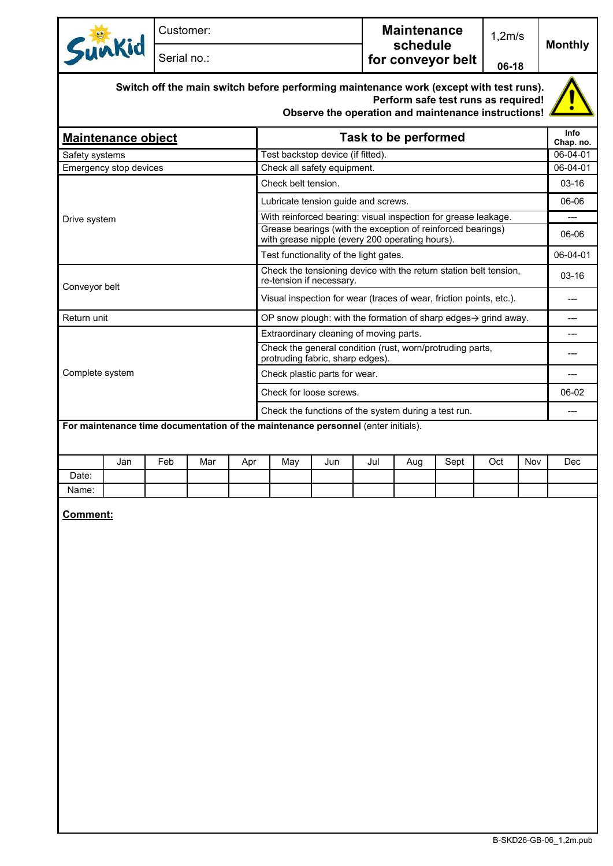| Sunkid                                                                                                                                                                               |                        | Customer:   |     |                                                                                               |                                                                                                                |     |                   | <b>Maintenance</b><br>schedule |      |         | 1,2m/s   | <b>Monthly</b>    |
|--------------------------------------------------------------------------------------------------------------------------------------------------------------------------------------|------------------------|-------------|-----|-----------------------------------------------------------------------------------------------|----------------------------------------------------------------------------------------------------------------|-----|-------------------|--------------------------------|------|---------|----------|-------------------|
|                                                                                                                                                                                      |                        | Serial no.: |     |                                                                                               |                                                                                                                |     | for conveyor belt |                                |      | 06-18   |          |                   |
| Switch off the main switch before performing maintenance work (except with test runs).<br>Perform safe test runs as required!<br>Observe the operation and maintenance instructions! |                        |             |     |                                                                                               |                                                                                                                |     |                   |                                |      |         |          |                   |
| <b>Maintenance object</b>                                                                                                                                                            |                        |             |     |                                                                                               | Task to be performed                                                                                           |     |                   |                                |      |         |          | Info<br>Chap. no. |
| Safety systems                                                                                                                                                                       |                        |             |     |                                                                                               | Test backstop device (if fitted).                                                                              |     |                   |                                |      |         |          | 06-04-01          |
|                                                                                                                                                                                      | Emergency stop devices |             |     |                                                                                               | Check all safety equipment.                                                                                    |     |                   |                                |      |         |          | 06-04-01          |
|                                                                                                                                                                                      |                        |             |     |                                                                                               | Check belt tension.                                                                                            |     |                   |                                |      |         |          | $03 - 16$         |
|                                                                                                                                                                                      |                        |             |     |                                                                                               | Lubricate tension guide and screws.                                                                            |     |                   |                                |      |         | 06-06    |                   |
| Drive system                                                                                                                                                                         |                        |             |     |                                                                                               | With reinforced bearing: visual inspection for grease leakage.                                                 |     |                   |                                |      |         | ---      |                   |
|                                                                                                                                                                                      |                        |             |     |                                                                                               | Grease bearings (with the exception of reinforced bearings)<br>with grease nipple (every 200 operating hours). |     |                   |                                |      |         | 06-06    |                   |
|                                                                                                                                                                                      |                        |             |     |                                                                                               | Test functionality of the light gates.                                                                         |     |                   |                                |      |         | 06-04-01 |                   |
| Conveyor belt                                                                                                                                                                        |                        |             |     | Check the tensioning device with the return station belt tension,<br>re-tension if necessary. |                                                                                                                |     |                   |                                |      | $03-16$ |          |                   |
|                                                                                                                                                                                      |                        |             |     |                                                                                               | Visual inspection for wear (traces of wear, friction points, etc.).                                            |     |                   |                                |      |         |          | $---$             |
| Return unit                                                                                                                                                                          |                        |             |     |                                                                                               | OP snow plough: with the formation of sharp edges $\rightarrow$ grind away.                                    |     |                   |                                |      |         | ---      |                   |
|                                                                                                                                                                                      |                        |             |     |                                                                                               | Extraordinary cleaning of moving parts.                                                                        |     |                   |                                |      |         |          | ---               |
|                                                                                                                                                                                      |                        |             |     |                                                                                               | Check the general condition (rust, worn/protruding parts,<br>protruding fabric, sharp edges).                  |     |                   |                                |      |         | ---      |                   |
| Complete system                                                                                                                                                                      |                        |             |     |                                                                                               | Check plastic parts for wear.                                                                                  |     |                   |                                |      |         |          |                   |
|                                                                                                                                                                                      |                        |             |     | Check for loose screws.                                                                       |                                                                                                                |     |                   |                                |      | 06-02   |          |                   |
|                                                                                                                                                                                      |                        |             |     |                                                                                               | Check the functions of the system during a test run.                                                           |     |                   |                                |      |         |          |                   |
| For maintenance time documentation of the maintenance personnel (enter initials).                                                                                                    |                        |             |     |                                                                                               |                                                                                                                |     |                   |                                |      |         |          |                   |
|                                                                                                                                                                                      | Jan                    | Feb         | Mar | Apr                                                                                           | May                                                                                                            | Jun | Jul               | Aug                            | Sept | Oct     | Nov      | Dec               |
| Date:                                                                                                                                                                                |                        |             |     |                                                                                               |                                                                                                                |     |                   |                                |      |         |          |                   |
| Name:                                                                                                                                                                                |                        |             |     |                                                                                               |                                                                                                                |     |                   |                                |      |         |          |                   |

**Comment:**